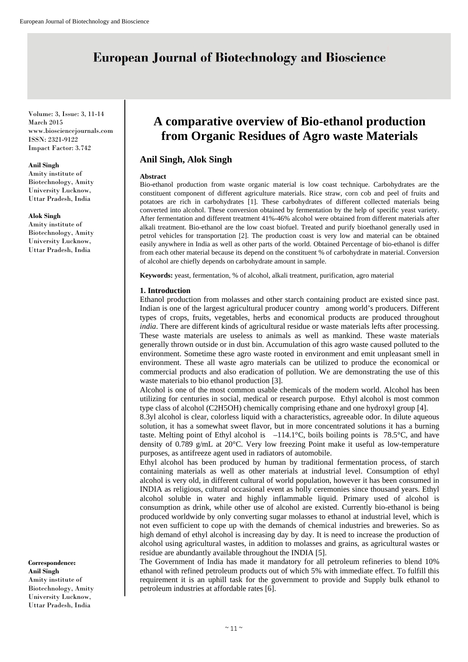# **European Journal of Biotechnology and Bioscience**

Volume: 3, Issue: 3, 11-14 March 2015 www.biosciencejournals.com ISSN: 2321-9122 Impact Factor: 3.742

#### **Anil Singh**

Amity institute of Biotechnology, Amity University Lucknow, Uttar Pradesh, India

**Alok Singh** 

Amity institute of Biotechnology, Amity University Lucknow, Uttar Pradesh, India

#### **Correspondence:**

**Anil Singh**  Amity institute of Biotechnology, Amity University Lucknow, Uttar Pradesh, India

# **A comparative overview of Bio-ethanol production from Organic Residues of Agro waste Materials**

# **Anil Singh, Alok Singh**

#### **Abstract**

Bio-ethanol production from waste organic material is low coast technique. Carbohydrates are the constituent component of different agriculture materials. Rice straw, corn cob and peel of fruits and potatoes are rich in carbohydrates [1]. These carbohydrates of different collected materials being converted into alcohol. These conversion obtained by fermentation by the help of specific yeast variety. After fermentation and different treatment 41%-46% alcohol were obtained from different materials after alkali treatment. Bio-ethanol are the low coast biofuel. Treated and purify bioethanol generally used in petrol vehicles for transportation [2]. The production coast is very low and material can be obtained easily anywhere in India as well as other parts of the world. Obtained Percentage of bio-ethanol is differ from each other material because its depend on the constituent % of carbohydrate in material. Conversion of alcohol are chiefly depends on carbohydrate amount in sample.

**Keywords:** yeast, fermentation, % of alcohol, alkali treatment, purification, agro material

#### **1. Introduction**

Ethanol production from molasses and other starch containing product are existed since past. Indian is one of the largest agricultural producer country among world's producers. Different types of crops, fruits, vegetables, herbs and economical products are produced throughout *india*. There are different kinds of agricultural residue or waste materials lefts after processing. These waste materials are useless to animals as well as mankind. These waste materials generally thrown outside or in dust bin. Accumulation of this agro waste caused polluted to the environment. Sometime these agro waste rooted in environment and emit unpleasant smell in environment. These all waste agro materials can be utilized to produce the economical or commercial products and also eradication of pollution. We are demonstrating the use of this waste materials to bio ethanol production [3].

Alcohol is one of the most common usable chemicals of the modern world. Alcohol has been utilizing for centuries in social, medical or research purpose. Ethyl alcohol is most common type class of alcohol (C2H5OH) chemically comprising ethane and one hydroxyl group [4].

8.3yl alcohol is clear, colorless liquid with a characteristics, agreeable odor. In dilute aqueous solution, it has a somewhat sweet flavor, but in more concentrated solutions it has a burning taste. Melting point of Ethyl alcohol is  $-114.1^{\circ}$ C, boils boiling points is 78.5°C, and have density of 0.789 g/mL at 20°C. Very low freezing Point make it useful as low-temperature purposes, as antifreeze agent used in radiators of automobile.

Ethyl alcohol has been produced by human by traditional fermentation process, of starch containing materials as well as other materials at industrial level. Consumption of ethyl alcohol is very old, in different cultural of world population, however it has been consumed in INDIA as religious, cultural occasional event as holly ceremonies since thousand years. Ethyl alcohol soluble in water and highly inflammable liquid. Primary used of alcohol is consumption as drink, while other use of alcohol are existed. Currently bio-ethanol is being produced worldwide by only converting sugar molasses to ethanol at industrial level, which is not even sufficient to cope up with the demands of chemical industries and breweries. So as high demand of ethyl alcohol is increasing day by day. It is need to increase the production of alcohol using agricultural wastes, in addition to molasses and grains, as agricultural wastes or residue are abundantly available throughout the INDIA [5].

The Government of India has made it mandatory for all petroleum refineries to blend 10% ethanol with refined petroleum products out of which 5% with immediate effect. To fulfill this requirement it is an uphill task for the government to provide and Supply bulk ethanol to petroleum industries at affordable rates [6].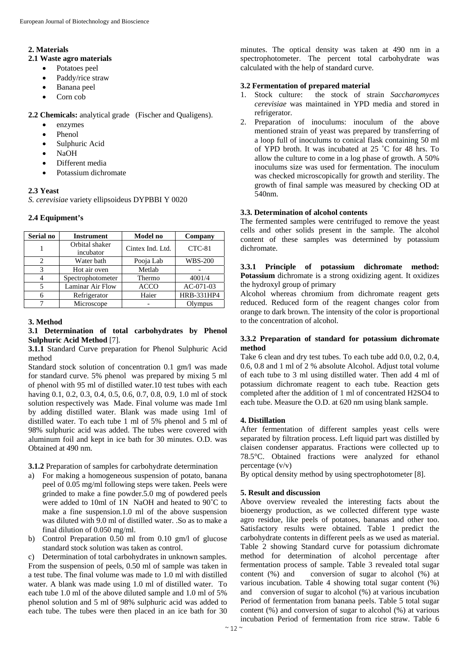## **2. Materials**

## **2.1 Waste agro materials**

- Potatoes peel
- Paddy/rice straw
- Banana peel
- Corn cob

**2.2 Chemicals:** analytical grade (Fischer and Qualigens).

- enzymes
- Phenol
- Sulphuric Acid
- NaOH
- Different media
- Potassium dichromate

# **2.3 Yeast**

*S. cerevisiae* variety ellipsoideus DYPBBI Y 0020

# **2.4 Equipment's**

| Serial no | <b>Instrument</b> | <b>Model no</b>  | Company        |  |
|-----------|-------------------|------------------|----------------|--|
|           | Orbital shaker    | Cintex Ind. Ltd. | CTC-81         |  |
|           | incubator         |                  |                |  |
| 2         | Water bath        | Pooja Lab        | <b>WBS-200</b> |  |
| 3         | Hot air oven      | Metlab           |                |  |
|           | Spectrophotometer | Thermo           | 4001/4         |  |
| 5         | Laminar Air Flow  | <b>ACCO</b>      | AC-071-03      |  |
| 6         | Refrigerator      | Haier            | HRB-331HP4     |  |
|           | Microscope        |                  | Olympus        |  |

## **3. Method**

#### **3.1 Determination of total carbohydrates by Phenol Sulphuric Acid Method** [7].

**3.1.1** Standard Curve preparation for Phenol Sulphuric Acid method

Standard stock solution of concentration 0.1 gm/l was made for standard curve. 5% phenol was prepared by mixing 5 ml of phenol with 95 ml of distilled water.10 test tubes with each having 0.1, 0.2, 0.3, 0.4, 0.5, 0.6, 0.7, 0.8, 0.9, 1.0 ml of stock solution respectively was Made. Final volume was made 1ml by adding distilled water. Blank was made using 1ml of distilled water. To each tube 1 ml of 5% phenol and 5 ml of 98% sulphuric acid was added. The tubes were covered with aluminum foil and kept in ice bath for 30 minutes. O.D. was Obtained at 490 nm.

**3.1.2** Preparation of samples for carbohydrate determination

- a) For making a homogeneous suspension of potato, banana peel of 0.05 mg/ml following steps were taken. Peels were grinded to make a fine powder.5.0 mg of powdered peels were added to 10ml of 1N NaOH and heated to 90˚C to make a fine suspension.1.0 ml of the above suspension was diluted with 9.0 ml of distilled water. .So as to make a final dilution of 0.050 mg/ml.
- b) Control Preparation 0.50 ml from 0.10 gm/l of glucose standard stock solution was taken as control.

c) Determination of total carbohydrates in unknown samples. From the suspension of peels, 0.50 ml of sample was taken in a test tube. The final volume was made to 1.0 ml with distilled water. A blank was made using 1.0 ml of distilled water. To each tube 1.0 ml of the above diluted sample and 1.0 ml of 5% phenol solution and 5 ml of 98% sulphuric acid was added to each tube. The tubes were then placed in an ice bath for 30

minutes. The optical density was taken at 490 nm in a spectrophotometer. The percent total carbohydrate was calculated with the help of standard curve.

# **3.2 Fermentation of prepared material**

- 1. Stock culture: the stock of strain *Saccharomyces cerevisiae* was maintained in YPD media and stored in refrigerator.
- 2. Preparation of inoculums: inoculum of the above mentioned strain of yeast was prepared by transferring of a loop full of inoculums to conical flask containing 50 ml of YPD broth. It was incubated at 25 ˚C for 48 hrs. To allow the culture to come in a log phase of growth. A 50% inoculums size was used for fermentation. The inoculum was checked microscopically for growth and sterility. The growth of final sample was measured by checking OD at 540nm.

# **3.3. Determination of alcohol contents**

The fermented samples were centrifuged to remove the yeast cells and other solids present in the sample. The alcohol content of these samples was determined by potassium dichromate.

**3.3.1 Principle of potassium dichromate method: Potassium** dichromate is a strong oxidizing agent. It oxidizes the hydroxyl group of primary

Alcohol whereas chromium from dichromate reagent gets reduced. Reduced form of the reagent changes color from orange to dark brown. The intensity of the color is proportional to the concentration of alcohol.

## **3.3.2 Preparation of standard for potassium dichromate method**

Take 6 clean and dry test tubes. To each tube add 0.0, 0.2, 0.4, 0.6, 0.8 and 1 ml of 2 % absolute Alcohol. Adjust total volume of each tube to 3 ml using distilled water. Then add 4 ml of potassium dichromate reagent to each tube. Reaction gets completed after the addition of 1 ml of concentrated H2SO4 to each tube. Measure the O.D. at 620 nm using blank sample.

## **4. Distillation**

After fermentation of different samples yeast cells were separated by filtration process. Left liquid part was distilled by claisen condenser apparatus. Fractions were collected up to 78.5°C. Obtained fractions were analyzed for ethanol percentage (v/v)

By optical density method by using spectrophotometer [8].

## **5. Result and discussion**

Above overview revealed the interesting facts about the bioenergy production, as we collected different type waste agro residue, like peels of potatoes, bananas and other too. Satisfactory results were obtained. Table 1 predict the carbohydrate contents in different peels as we used as material. Table 2 showing Standard curve for potassium dichromate method for determination of alcohol percentage after fermentation process of sample. Table 3 revealed total sugar content (%) and conversion of sugar to alcohol (%) at various incubation. Table 4 showing total sugar content (%) and conversion of sugar to alcohol (%) at various incubation Period of fermentation from banana peels. Table 5 total sugar content (%) and conversion of sugar to alcohol (%) at various incubation Period of fermentation from rice straw. Table 6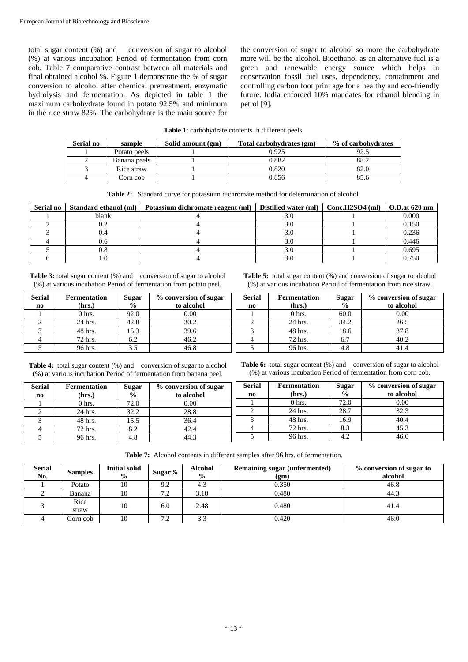total sugar content (%) and conversion of sugar to alcohol (%) at various incubation Period of fermentation from corn cob. Table 7 comparative contrast between all materials and final obtained alcohol %. Figure 1 demonstrate the % of sugar conversion to alcohol after chemical pretreatment, enzymatic hydrolysis and fermentation. As depicted in table 1 the maximum carbohydrate found in potato 92.5% and minimum in the rice straw 82%. The carbohydrate is the main source for the conversion of sugar to alcohol so more the carbohydrate more will be the alcohol. Bioethanol as an alternative fuel is a green and renewable energy source which helps in conservation fossil fuel uses, dependency, containment and controlling carbon foot print age for a healthy and eco-friendly future. India enforced 10% mandates for ethanol blending in petrol [9].

|  |  |  | <b>Table 1:</b> carbohydrate contents in different peels. |
|--|--|--|-----------------------------------------------------------|
|--|--|--|-----------------------------------------------------------|

| Serial no | sample       | Solid amount (gm) | Total carbohydrates (gm) | % of carbohydrates |
|-----------|--------------|-------------------|--------------------------|--------------------|
|           | Potato peels |                   | 0.925                    | 92.5               |
|           | Banana peels |                   | 0.882                    | 88.2               |
|           | Rice straw   |                   | 0.820                    | 82.0               |
|           | Corn cob     |                   | 0.856                    | 85.6               |

| <b>Table 2:</b> Standard curve for potassium dichromate method for determination of alcohol. |  |  |  |
|----------------------------------------------------------------------------------------------|--|--|--|
|                                                                                              |  |  |  |

| <b>Serial no</b> | Standard ethanol (ml) | Potassium dichromate reagent (ml) | Distilled water (ml)   Conc.H2SO4 (ml)   O.D.at 620 nm |       |
|------------------|-----------------------|-----------------------------------|--------------------------------------------------------|-------|
|                  | blank                 |                                   |                                                        | 0.000 |
|                  |                       |                                   |                                                        | 0.150 |
|                  |                       |                                   |                                                        | 0.236 |
|                  |                       |                                   |                                                        | 0.446 |
|                  |                       |                                   |                                                        | 0.695 |
|                  |                       |                                   |                                                        | 0.750 |

**Table 3:** total sugar content (%) and conversion of sugar to alcohol (%) at various incubation Period of fermentation from potato peel.

| <b>Serial</b>  | <b>Fermentation</b> | Sugar                     | % conversion of sugar |
|----------------|---------------------|---------------------------|-----------------------|
| n <sub>0</sub> | (hrs.)              | $\overline{\mathbf{0}}_0$ | to alcohol            |
|                | 0 <sub>hrs.</sub>   | 92.0                      | 0.00                  |
|                | 24 hrs.             | 42.8                      | 30.2                  |
|                | 48 hrs.             | 15.3                      | 39.6                  |
|                | 72 hrs.             | 6.2                       | 46.2                  |
|                | 96 hrs.             | 3.5                       | 46.8                  |

Table 4: total sugar content (%) and conversion of sugar to alcohol (%) at various incubation Period of fermentation from banana peel.

| <b>Serial</b><br>no | <b>Fermentation</b><br>(hrs.) | Sugar<br>$\frac{0}{0}$ | % conversion of sugar<br>to alcohol |
|---------------------|-------------------------------|------------------------|-------------------------------------|
|                     | $0h$ hrs.                     | 72.0                   | 0.00                                |
|                     | 24 hrs.                       | 32.2                   | 28.8                                |
|                     | 48 hrs.                       | 15.5                   | 36.4                                |
|                     | 72 hrs.                       | 8.2                    | 42.4                                |
|                     | 96 hrs.                       | 4.8                    | 14.3                                |

**Table 5:** total sugar content (%) and conversion of sugar to alcohol (%) at various incubation Period of fermentation from rice straw.

| <b>Serial</b>  | <b>Fermentation</b> | <b>Sugar</b>             | % conversion of sugar |
|----------------|---------------------|--------------------------|-----------------------|
| n <sub>0</sub> | (hrs.)              | $\overline{\frac{9}{6}}$ | to alcohol            |
|                | 0 <sub>hrs.</sub>   | 60.0                     | 0.00                  |
|                | 24 hrs.             | 34.2                     | 26.5                  |
|                | 48 hrs.             | 18.6                     | 37.8                  |
|                | 72 hrs.             | 6.7                      | 40.2                  |
|                | 96 hrs.             |                          |                       |

Table 6: total sugar content (%) and conversion of sugar to alcohol (%) at various incubation Period of fermentation from corn cob.

| <b>Serial</b> | <b>Fermentation</b> | <b>Sugar</b>  | % conversion of sugar |
|---------------|---------------------|---------------|-----------------------|
| $\mathbf{n}$  | (hrs.)              | $\frac{0}{0}$ | to alcohol            |
|               | $0$ hrs.            | 72.0          | 0.00                  |
|               | 24 hrs.             | 28.7          | 32.3                  |
|               | 48 hrs.             | 16.9          | 40.4                  |
|               | 72 hrs.             | 8.3           | 45.3                  |
|               | 96 hrs.             | 4.2           | 46.0                  |

**Table 7:** Alcohol contents in different samples after 96 hrs. of fermentation.

| <b>Serial</b><br>No. | <b>Samples</b> | <b>Initial solid</b><br>$\frac{0}{0}$ | Sugar% | <b>Alcohol</b><br>$\frac{0}{0}$ | <b>Remaining sugar (unfermented)</b><br>(gm) | % conversion of sugar to<br>alcohol |
|----------------------|----------------|---------------------------------------|--------|---------------------------------|----------------------------------------------|-------------------------------------|
|                      | Potato         | 10                                    | 9.2    | 4.3                             | 0.350                                        | 46.8                                |
|                      | Banana         | 10                                    | 7.2    | 3.18                            | 0.480                                        | 44.3                                |
|                      | Rice<br>straw  | 10                                    | 6.0    | 2.48                            | 0.480                                        | 41.4                                |
|                      | Corn cob       | 10                                    | 7.2    | 3.3                             | 0.420                                        | 46.0                                |